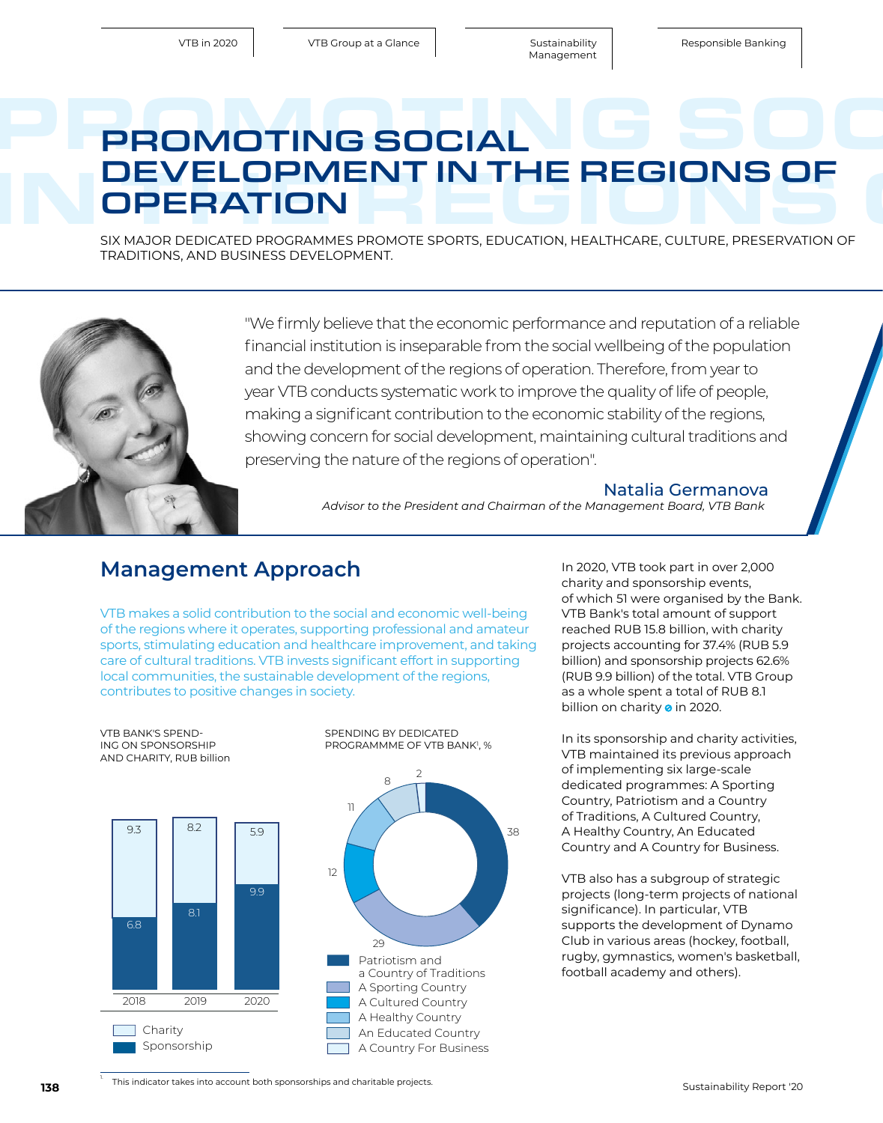# PROMOTING SOCIAL G SOCIAL IN THE REGIONS OF OPERATION<br>
SIX MOREFORMER PROPORT SPONS ENLOYED HEALTHCAPE CUTURE PRESERVATION OF PROMOTING SOCIAL **OPERATION**

SIX MAJOR DEDICATED PROGRAMMES PROMOTE SPORTS, EDUCATION, HEALTHCARE, CULTURE, PRESERVATION OF TRADITIONS, AND BUSINESS DEVELOPMENT.



"We firmly believe that the economic performance and reputation of a reliable financial institution is inseparable from the social wellbeing of the population and the development of the regions of operation. Therefore, from year to year VTB conducts systematic work to improve the quality of life of people, making a significant contribution to the economic stability of the regions, showing concern for social development, maintaining cultural traditions and preserving the nature of the regions of operation".

#### Natalia Germanova

*Advisor to the President and Chairman of the Management Board, VTB Bank*

### **Management Approach In 2020, VTB took part in over 2,000**

VTB makes a solid contribution to the social and economic well-being of the regions where it operates, supporting professional and amateur sports, stimulating education and healthcare improvement, and taking care of cultural traditions. VTB invests significant effort in supporting local communities, the sustainable development of the regions, contributes to positive changes in society.



charity and sponsorship events, of which 51 were organised by the Bank. VTB Bank's total amount of support reached RUB 15.8 billion, with charity projects accounting for 37.4% (RUB 5.9 billion) and sponsorship projects 62.6% (RUB 9.9 billion) of the total. VTB Group as a whole spent a total of RUB 8.1 billion on charity **o** in 2020.

In its sponsorship and charity activities, VTB maintained its previous approach of implementing six large-scale dedicated programmes: A Sporting Country, Patriotism and a Country of Traditions, A Cultured Country, A Healthy Country, An Educated Country and A Country for Business.

VTB also has a subgroup of strategic projects (long-term projects of national significance). In particular, VTB supports the development of Dynamo Club in various areas (hockey, football, rugby, gymnastics, women's basketball, football academy and others).